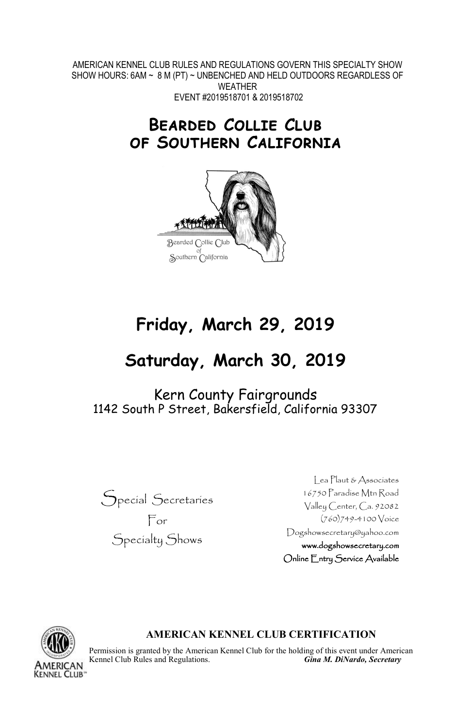AMERICAN KENNEL CLUB RULES AND REGULATIONS GOVERN THIS SPECIALTY SHOW SHOW HOURS: 6AM ~ 8 M (PT) ~ UNBENCHED AND HELD OUTDOORS REGARDLESS OF WEATHER EVENT #2019518701 & 2019518702

## **Bearded Collie Club of Southern California**



# **Friday, March 29, 2019**

# **Saturday, March 30, 2019**

Kern County Fairgrounds 1142 South P Street, Bakersfield, California 93307



Lea Plaut & Associates 16750 Paradise Mtn Road Valley Center, Ca. 92082 (760)749-4100 Voice Dogshowsecretary@yahoo.com www.dogshowsecretary.com Online Entry Service Available



#### **AMERICAN KENNEL CLUB CERTIFICATION**

Permission is granted by the American Kennel Club for the holding of this event under American Kennel Club Rules and Regulations. **Gina M. DiNardo, Secretary** Kennel Club Rules and Regulations.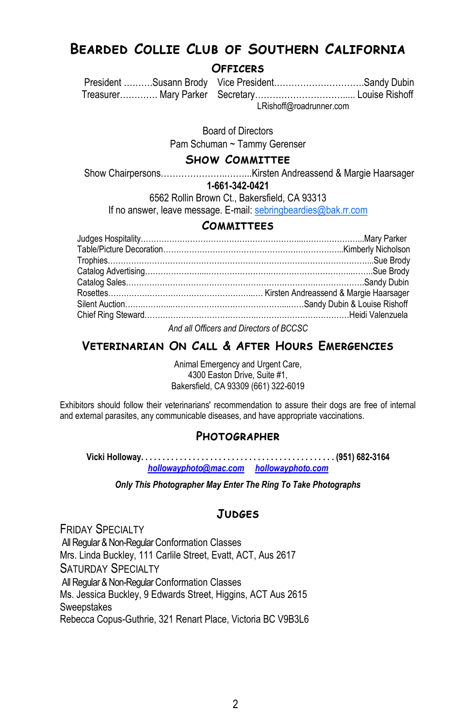## **Bearded Collie Club of Southern California**

#### **Officers**

 President ……….Susann Brody Vice President………………………….Sandy Dubin Treasurer…………. Mary Parker Secretary…………………………..... Louise Rishoff LRishoff@roadrunner.com

Board of Directors

Pam Schuman ~ Tammy Gerenser

#### **Show Committee**

Show Chairpersons…………………..……...Kirsten Andreassend & Margie Haarsager

#### **1-661-342-0421**

6562 Rollin Brown Ct., Bakersfield, CA 93313

If no answer, leave message. E-mail: [sebringbeardies@bak.rr.com](mailto:sebringbeardies@bak.rr.com)

#### **Committees**

*And all Officers and Directors of BCCSC*

### **Veterinarian On Call & After Hours Emergencies**

Animal Emergency and Urgent Care, 4300 Easton Drive, Suite #1, Bakersfield, CA 93309 (661) 322-6019

Exhibitors should follow their veterinarians' recommendation to assure their dogs are free of internal and external parasites, any communicable diseases, and have appropriate vaccinations.

#### **Photographer**

**Vicki Holloway. . . . . . . . . . . . . . . . . . . . . . . . . . . . . . . . . . . . . . . . . . . . . (951) 682-3164** *[hollowayphoto@mac.com](mailto:hollowayphoto@mac.com) [hollowayphoto.com](http://www.hollowayphoto.com)*

*Only This Photographer May Enter The Ring To Take Photographs*

#### **Judges**

**FRIDAY SPECIALTY** All Regular & Non-Regular Conformation Classes Mrs. Linda Buckley, 111 Carlile Street, Evatt, ACT, Aus 2617 SATURDAY SPECIALTY All Regular & Non-Regular Conformation Classes Ms. Jessica Buckley, 9 Edwards Street, Higgins, ACT Aus 2615 **Sweepstakes** Rebecca Copus-Guthrie, 321 Renart Place, Victoria BC V9B3L6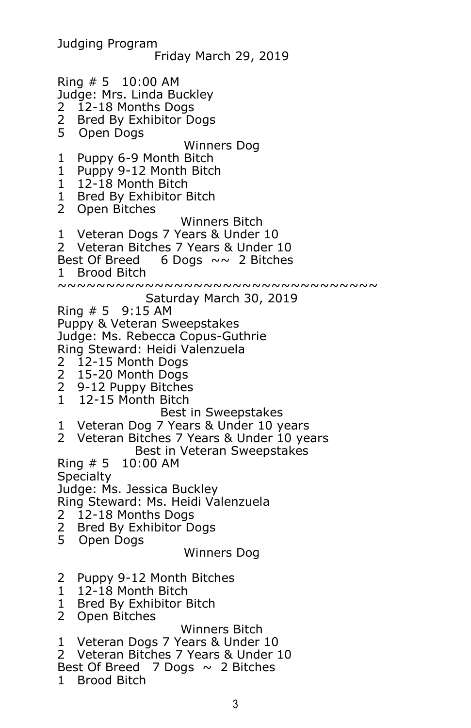Judging Program Friday March 29, 2019 Ring # 5 10:00 AM Judge: Mrs. Linda Buckley 2 12-18 Months Dogs 2 Bred By Exhibitor Dogs<br>5 Open Dogs 5 Open Dogs Winners Dog 1 Puppy 6-9 Month Bitch 1 Puppy 9-12 Month Bitch 1 12-18 Month Bitch 1 Bred By Exhibitor Bitch 2 Open Bitches Winners Bitch 1 Veteran Dogs 7 Years & Under 10 2 Veteran Bitches 7 Years & Under 10 Best Of Breed 6 Dogs  $\sim \sim$  2 Bitches 1 Brood Bitch ~~~~~~~~~~~~~~~~~~~~~~~~~~~~~~~~ Saturday March 30, 2019 Ring  $# 5$  9:15 AM Puppy & Veteran Sweepstakes Judge: Ms. Rebecca Copus-Guthrie Ring Steward: Heidi Valenzuela 2 12-15 Month Dogs 2 15-20 Month Dogs 2 9-12 Puppy Bitches 1 12-15 Month Bitch Best in Sweepstakes 1 Veteran Dog 7 Years & Under 10 years 2 Veteran Bitches 7 Years & Under 10 years Best in Veteran Sweepstakes Ring # 5 10:00 AM **Specialty** Judge: Ms. Jessica Buckley Ring Steward: Ms. Heidi Valenzuela 2 12-18 Months Dogs 2 Bred By Exhibitor Dogs<br>5 Open Dogs 5 Open Dogs Winners Dog 2 Puppy 9-12 Month Bitches 1 12-18 Month Bitch 1 Bred By Exhibitor Bitch 2 Open Bitches Winners Bitch 1 Veteran Dogs 7 Years & Under 10 2 Veteran Bitches 7 Years & Under 10 Best Of Breed  $\overline{7}$  Dogs  $\sim$  2 Bitches 1 Brood Bitch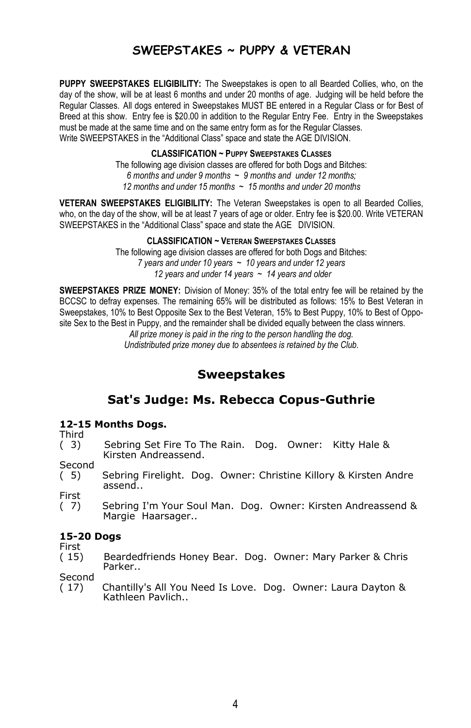## **SWEEPSTAKES ~ PUPPY & VETERAN**

**PUPPY SWEEPSTAKES ELIGIBILITY:** The Sweepstakes is open to all Bearded Collies, who, on the day of the show, will be at least 6 months and under 20 months of age. Judging will be held before the Regular Classes. All dogs entered in Sweepstakes MUST BE entered in a Regular Class or for Best of Breed at this show. Entry fee is \$20.00 in addition to the Regular Entry Fee. Entry in the Sweepstakes must be made at the same time and on the same entry form as for the Regular Classes. Write SWEEPSTAKES in the "Additional Class" space and state the AGE DIVISION.

**CLASSIFICATION ~ PUPPY SWEEPSTAKES CLASSES**

The following age division classes are offered for both Dogs and Bitches: *6 months and under 9 months ~ 9 months and under 12 months; 12 months and under 15 months ~ 15 months and under 20 months*

**VETERAN SWEEPSTAKES ELIGIBILITY:** The Veteran Sweepstakes is open to all Bearded Collies, who, on the day of the show, will be at least 7 years of age or older. Entry fee is \$20.00. Write VETERAN SWEEPSTAKES in the "Additional Class" space and state the AGE DIVISION.

#### **CLASSIFICATION ~ VETERAN SWEEPSTAKES CLASSES**

The following age division classes are offered for both Dogs and Bitches: *7 years and under 10 years ~ 10 years and under 12 years 12 years and under 14 years ~ 14 years and older*

**SWEEPSTAKES PRIZE MONEY:** Division of Money: 35% of the total entry fee will be retained by the BCCSC to defray expenses. The remaining 65% will be distributed as follows: 15% to Best Veteran in Sweepstakes, 10% to Best Opposite Sex to the Best Veteran, 15% to Best Puppy, 10% to Best of Opposite Sex to the Best in Puppy, and the remainder shall be divided equally between the class winners.

*All prize money is paid in the ring to the person handling the dog. Undistributed prize money due to absentees is retained by the Club.*

## **Sweepstakes**

## **Sat's Judge: Ms. Rebecca Copus-Guthrie**

#### **12-15 Months Dogs.**

Third

( 3) Sebring Set Fire To The Rain. Dog. Owner: Kitty Hale & Kirsten Andreassend.

**Second** 

( 5) Sebring Firelight. Dog. Owner: Christine Killory & Kirsten Andre assend..

First<br>(7) Sebring I'm Your Soul Man. Dog. Owner: Kirsten Andreassend & Margie Haarsager..

#### **15-20 Dogs**

First<br>(15)

Beardedfriends Honey Bear. Dog. Owner: Mary Parker & Chris Parker..

Second

( 17) Chantilly's All You Need Is Love. Dog. Owner: Laura Dayton & Kathleen Pavlich..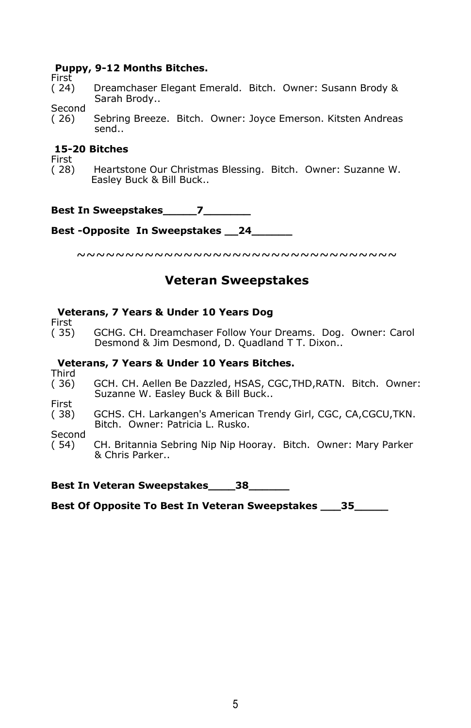#### **Puppy, 9-12 Months Bitches.**

First<br>(24)

Dreamchaser Elegant Emerald. Bitch. Owner: Susann Brody & Sarah Brody..

Second

( 26) Sebring Breeze. Bitch. Owner: Joyce Emerson. Kitsten Andreas send..

#### **15-20 Bitches**

First<br>( 28) Heartstone Our Christmas Blessing. Bitch. Owner: Suzanne W. Easley Buck & Bill Buck..

**Best In Sweepstakes** 7

**Best -Opposite In Sweepstakes \_\_24\_\_\_\_\_\_**

~~~~~~~~~~~~~~~~~~~~~~~~~~~~~~~~~~

## **Veteran Sweepstakes**

#### **Veterans, 7 Years & Under 10 Years Dog**

First<br>( 35) GCHG. CH. Dreamchaser Follow Your Dreams. Dog. Owner: Carol Desmond & Jim Desmond, D. Quadland T T. Dixon..

#### **Veterans, 7 Years & Under 10 Years Bitches.**

Third<br>(36) GCH. CH. Aellen Be Dazzled, HSAS, CGC, THD, RATN. Bitch. Owner: Suzanne W. Easley Buck & Bill Buck..

First

( 38) GCHS. CH. Larkangen's American Trendy Girl, CGC, CA,CGCU,TKN. Bitch. Owner: Patricia L. Rusko.

Second<br>(54)

CH. Britannia Sebring Nip Nip Hooray. Bitch. Owner: Mary Parker & Chris Parker..

**Best In Veteran Sweepstakes\_\_\_\_38\_\_\_\_\_\_**

**Best Of Opposite To Best In Veteran Sweepstakes \_\_\_35\_\_\_\_\_**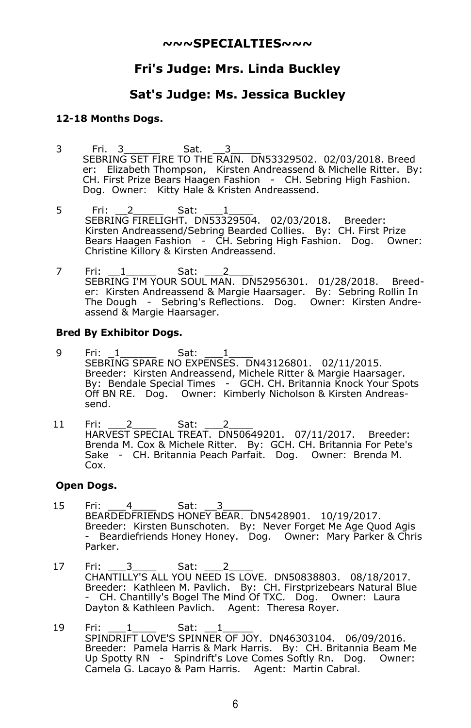#### **~~~SPECIALTIES~~~**

## **Fri's Judge: Mrs. Linda Buckley**

## **Sat's Judge: Ms. Jessica Buckley**

#### **12-18 Months Dogs.**

- 3 Fri. 3\_\_\_\_\_\_ Sat. \_\_3\_\_\_\_\_ SEBRING SET FIRE TO THE RAIN. DN53329502. 02/03/2018. Breed er: Elizabeth Thompson, Kirsten Andreassend & Michelle Ritter. By: CH. First Prize Bears Haagen Fashion - CH. Sebring High Fashion. Dog. Owner: Kitty Hale & Kristen Andreassend.
- 5 Fri: 2\_\_\_\_\_\_ Sat: \_\_\_1\_\_\_\_ SEBRING FIRELIGHT. DN53329504. 02/03/2018. Breeder: Kirsten Andreassend/Sebring Bearded Collies. By: CH. First Prize Bears Haagen Fashion - CH. Sebring High Fashion. Dog. Owner: Christine Killory & Kirsten Andreassend.
- 7 Fri: 1\_\_\_\_\_\_ Sat: \_\_\_2\_\_\_\_ SEBRING I'M YOUR SOUL MAN. DN52956301. 01/28/2018. Breeder: Kirsten Andreassend & Margie Haarsager. By: Sebring Rollin In The Dough - Sebring's Reflections. Dog. Owner: Kirsten Andreassend & Margie Haarsager.

#### **Bred By Exhibitor Dogs.**

- 9 Fri: 1\_\_\_\_\_\_\_ Sat: \_\_\_1\_\_\_\_ SEBRING SPARE NO EXPENSES. DN43126801. 02/11/2015. Breeder: Kirsten Andreassend, Michele Ritter & Margie Haarsager. By: Bendale Special Times - GCH. CH. Britannia Knock Your Spots Off BN RE. Dog. Owner: Kimberly Nicholson & Kirsten Andreassend.
- 11 Fri: 2\_\_\_\_ Sat: 2\_\_\_ HARVEST SPECIAL TREAT. DN50649201. 07/11/2017. Breeder: Brenda M. Cox & Michele Ritter. By: GCH. CH. Britannia For Pete's Sake - CH. Britannia Peach Parfait. Dog. Owner: Brenda M. Cox.

#### **Open Dogs.**

- 15 Fri: 4\_\_\_\_ Sat: 3\_\_\_\_ BEARDEDFRIENDS HONEY BEAR. DN5428901. 10/19/2017. Breeder: Kirsten Bunschoten. By: Never Forget Me Age Quod Agis - Beardiefriends Honey Honey. Dog. Owner: Mary Parker & Chris Parker.
- 17 Fri: \_\_\_\_3\_\_\_\_\_ Sat: \_\_\_\_2\_\_\_\_\_ CHANTILLY'S ALL YOU NEED IS LOVE. DN50838803. 08/18/2017. Breeder: Kathleen M. Pavlich. By: CH. Firstprizebears Natural Blue - CH. Chantilly's Bogel The Mind Of TXC. Dog. Owner: Laura Dayton & Kathleen Pavlich. Agent: Theresa Royer.
- 19 Fri: \_\_\_\_1\_\_\_\_\_\_ Sat: \_\_\_1\_\_\_\_\_\_ SPINDRIFT LOVE'S SPINNER OF JOY. DN46303104. 06/09/2016. Breeder: Pamela Harris & Mark Harris. By: CH. Britannia Beam Me Up Spotty RN - Spindrift's Love Comes Softly Rn. Dog. Owner: Camela G. Lacayo & Pam Harris. Agent: Martin Cabral.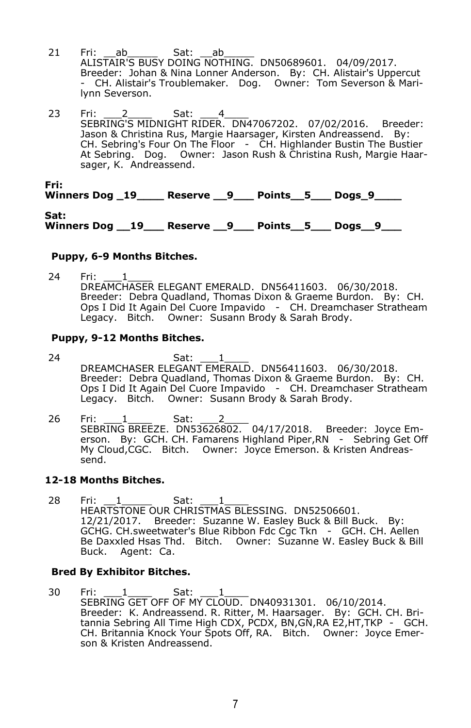- 21 Fri: \_\_ab\_\_\_\_\_\_\_ Sat: \_\_ab\_\_\_\_\_\_ ALISTAIR'S BUSY DOING NOTHING. DN50689601. 04/09/2017. Breeder: Johan & Nina Lonner Anderson. By: CH. Alistair's Uppercut - CH. Alistair's Troublemaker. Dog. Owner: Tom Severson & Marilynn Severson.
- 23 Fri: 2 \_\_\_\_ Sat: 4\_\_\_\_ SEBRING'S MIDNIGHT RIDER. DN47067202. 07/02/2016. Breeder: Jason & Christina Rus, Margie Haarsager, Kirsten Andreassend. By: CH. Sebring's Four On The Floor - CH. Highlander Bustin The Bustier At Sebring. Dog. Owner: Jason Rush & Christina Rush, Margie Haarsager, K. Andreassend.

**Fri:**

**Winners Dog \_19\_\_\_\_ Reserve \_\_9\_\_\_ Points\_\_5\_\_\_ Dogs\_9\_\_\_\_**

**Sat: Winners Dog \_\_19\_\_\_ Reserve \_\_9\_\_\_ Points\_\_5\_\_\_ Dogs\_\_9\_\_\_**

#### **Puppy, 6-9 Months Bitches.**

24 Fri: <u>1</u> DREAMCHASER ELEGANT EMERALD. DN56411603. 06/30/2018. Breeder: Debra Quadland, Thomas Dixon & Graeme Burdon. By: CH. Ops I Did It Again Del Cuore Impavido - CH. Dreamchaser Stratheam Legacy. Bitch. Owner: Susann Brody & Sarah Brody.

#### **Puppy, 9-12 Months Bitches.**

- 24 Sat: \_\_\_\_1\_\_\_\_\_ DREAMCHASER ELEGANT EMERALD. DN56411603. 06/30/2018. Breeder: Debra Quadland, Thomas Dixon & Graeme Burdon. By: CH. Ops I Did It Again Del Cuore Impavido - CH. Dreamchaser Stratheam Legacy. Bitch. Owner: Susann Brody & Sarah Brody.
- 26 Fri: \_\_\_1\_\_\_\_ Sat: \_\_\_2\_\_\_\_ SEBRING BREEZE. DN53626802. 04/17/2018. Breeder: Joyce Emerson. By: GCH. CH. Famarens Highland Piper,RN - Sebring Get Off My Cloud,CGC. Bitch. Owner: Joyce Emerson. & Kristen Andreassend.

#### **12-18 Months Bitches.**

28 Fri: \_\_1\_\_\_\_\_\_ Sat: \_\_\_1\_\_\_\_\_ HEARTSTONE OUR CHRISTMAS BLESSING. DN52506601. 12/21/2017. Breeder: Suzanne W. Easley Buck & Bill Buck. By: GCHG. CH.sweetwater's Blue Ribbon Fdc Cgc Tkn - GCH. CH. Aellen Be Daxxled Hsas Thd. Bitch. Owner: Suzanne W. Easley Buck & Bill Buck. Agent: Ca.

#### **Bred By Exhibitor Bitches.**

30 Fri: 1\_\_\_\_ Sat: 1\_\_\_ SEBRING GET OFF OF MY CLOUD. DN40931301. 06/10/2014. Breeder: K. Andreassend. R. Ritter, M. Haarsager. By: GCH. CH. Britannia Sebring All Time High CDX, PCDX, BN,GN,RA E2,HT,TKP - GCH. CH. Britannia Knock Your Spots Off, RA. Bitch. Owner: Joyce Emerson & Kristen Andreassend.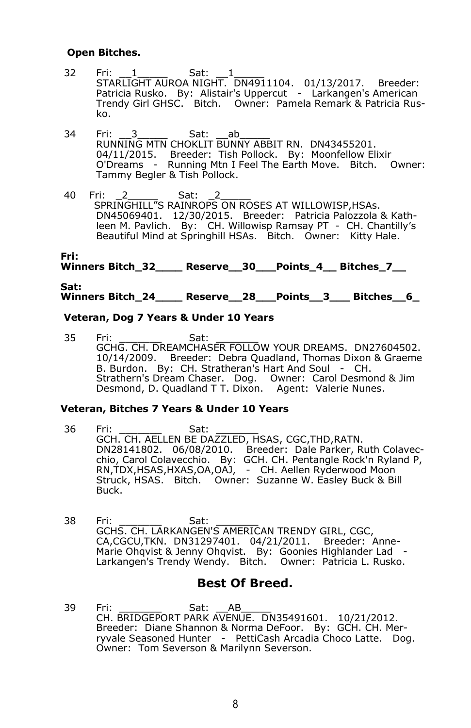#### **Open Bitches.**

- 32 Fri: 1\_\_\_\_\_\_ Sat: 1\_\_\_\_ STARLIGHT AUROA NIGHT. DN4911104. 01/13/2017. Breeder: Patricia Rusko. By: Alistair's Uppercut - Larkangen's American Trendy Girl GHSC. Bitch. Owner: Pamela Remark & Patricia Rusko.
- 34 Fri: \_\_\_3\_\_\_\_\_\_\_ Sat: \_\_\_ab\_\_\_\_\_\_\_ RUNNING MTN CHOKLIT BUNNY ABBIT RN. DN43455201. 04/11/2015. Breeder: Tish Pollock. By: Moonfellow Elixir O'Dreams - Running Mtn I Feel The Earth Move. Bitch. Owner: Tammy Begler & Tish Pollock.
- 40 Fri: 2 Sat: SPRINGHILL"S RAINROPS ON ROSES AT WILLOWISP,HSAs. DN45069401. 12/30/2015. Breeder: Patricia Palozzola & Kathleen M. Pavlich. By: CH. Willowisp Ramsay PT - CH. Chantilly's Beautiful Mind at Springhill HSAs. Bitch. Owner: Kitty Hale.

#### **Fri:** Winners Bitch 32 Reserve 30 Points 4 Bitches 7

#### **Sat: Winners Bitch\_24\_\_\_\_ Reserve\_\_28\_\_\_Points\_\_3\_\_\_ Bitches\_\_6\_**

#### **Veteran, Dog 7 Years & Under 10 Years**

35 Fri: \_\_\_\_\_\_\_ Sat: \_\_\_\_\_\_\_ GCHG. CH. DREAMCHASER FOLLOW YOUR DREAMS. DN27604502. 10/14/2009. Breeder: Debra Quadland, Thomas Dixon & Graeme B. Burdon. By: CH. Stratheran's Hart And Soul - CH. Strathern's Dream Chaser. Dog. Owner: Carol Desmond & Jim Desmond, D. Quadland T T. Dixon. Agent: Valerie Nunes.

#### **Veteran, Bitches 7 Years & Under 10 Years**

- 36 Fri: \_\_\_\_\_\_\_ Sat: \_\_\_\_\_\_\_ GCH. CH. AELLEN BE DAZZLED, HSAS, CGC,THD,RATN. DN28141802. 06/08/2010. Breeder: Dale Parker, Ruth Colavecchio, Carol Colavecchio. By: GCH. CH. Pentangle Rock'n Ryland P, RN,TDX,HSAS,HXAS,OA,OAJ, - CH. Aellen Ryderwood Moon Struck, HSAS. Bitch. Owner: Suzanne W. Easley Buck & Bill Buck.
- 38 Fri: \_\_\_\_\_\_\_ Sat: \_\_\_\_\_\_\_ GCHS. CH. LARKANGEN'S AMERICAN TRENDY GIRL, CGC, CA,CGCU,TKN. DN31297401. 04/21/2011. Breeder: Anne-Marie Ohqvist & Jenny Ohqvist. By: Goonies Highlander Lad -Larkangen's Trendy Wendy. Bitch. Owner: Patricia L. Rusko.

#### **Best Of Breed.**

39 Fri: \_\_\_\_\_\_\_ Sat: \_\_AB\_\_\_\_\_ CH. BRIDGEPORT PARK AVENUE. DN35491601. 10/21/2012. Breeder: Diane Shannon & Norma DeFoor. By: GCH. CH. Merryvale Seasoned Hunter - PettiCash Arcadia Choco Latte. Dog. Owner: Tom Severson & Marilynn Severson.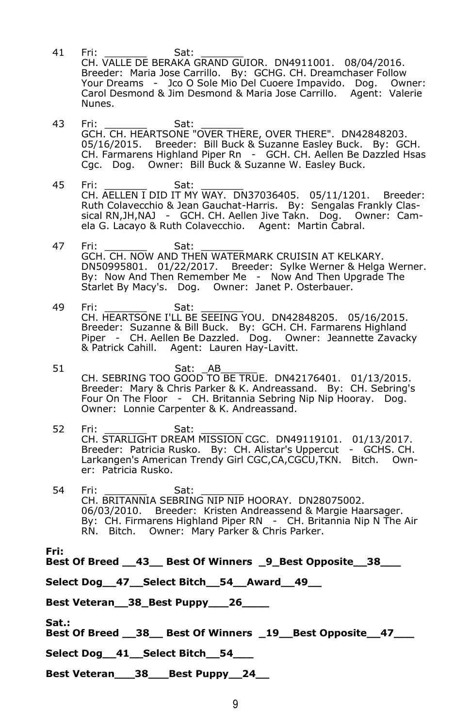- 41 Fri: \_\_\_\_\_\_\_\_\_ Sat: \_\_\_\_\_\_\_\_ CH. VALLE DE BERAKA GRAND GUIOR. DN4911001. 08/04/2016. Breeder: Maria Jose Carrillo. By: GCHG. CH. Dreamchaser Follow Your Dreams - Jco O Sole Mio Del Cuoere Impavido. Dog. Owner: Carol Desmond & Jim Desmond & Maria Jose Carrillo. Agent: Valerie Nunes.
- 43 Fri: \_\_\_\_\_\_\_ Sat: \_\_\_\_\_\_\_ GCH. CH. HEARTSONE "OVER THERE, OVER THERE". DN42848203. 05/16/2015. Breeder: Bill Buck & Suzanne Easley Buck. By: GCH. CH. Farmarens Highland Piper Rn - GCH. CH. Aellen Be Dazzled Hsas Cgc. Dog. Owner: Bill Buck & Suzanne W. Easley Buck.
- 45 Fri: \_\_\_\_\_\_\_ Sat: \_\_\_\_\_\_\_ CH. AELLEN I DID IT MY WAY. DN37036405. 05/11/1201. Breeder: Ruth Colavecchio & Jean Gauchat-Harris. By: Sengalas Frankly Classical RN,JH,NAJ - GCH. CH. Aellen Jive Takn. Dog. Owner: Camela G. Lacayo & Ruth Colavecchio. Agent: Martin Cabral.
- 47 Fri: \_\_\_\_\_\_\_ Sat: \_\_\_\_\_\_\_ GCH. CH. NOW AND THEN WATERMARK CRUISIN AT KELKARY. DN50995801. 01/22/2017. Breeder: Sylke Werner & Helga Werner. By: Now And Then Remember Me - Now And Then Upgrade The Starlet By Macy's. Dog. Owner: Janet P. Osterbauer.
- 49 Fri: \_\_\_\_\_\_\_ Sat: \_\_\_\_\_\_\_ CH. HEARTSONE I'LL BE SEEING YOU. DN42848205. 05/16/2015. Breeder: Suzanne & Bill Buck. By: GCH. CH. Farmarens Highland Piper - CH. Aellen Be Dazzled. Dog. Owner: Jeannette Zavacky & Patrick Cahill. Agent: Lauren Hay-Lavitt.
- 51 Sat: \_AB\_\_\_\_\_\_\_ CH. SEBRING TOO GOOD TO BE TRUE. DN42176401. 01/13/2015. Breeder: Mary & Chris Parker & K. Andreassand. By: CH. Sebring's Four On The Floor - CH. Britannia Sebring Nip Nip Hooray. Dog. Owner: Lonnie Carpenter & K. Andreassand.
- 52 Fri: \_\_\_\_\_\_\_ Sat: \_\_\_\_\_\_\_ CH. STARLIGHT DREAM MISSION CGC. DN49119101. 01/13/2017. Breeder: Patricia Rusko. By: CH. Alistar's Uppercut - GCHS. CH. Larkangen's American Trendy Girl CGC,CA,CGCU,TKN. Bitch. Owner: Patricia Rusko.
- 54 Fri: \_\_\_\_\_\_\_ Sat: \_\_\_\_\_\_\_ CH. BRITANNIA SEBRING NIP NIP HOORAY. DN28075002. 06/03/2010. Breeder: Kristen Andreassend & Margie Haarsager. By: CH. Firmarens Highland Piper RN - CH. Britannia Nip N The Air RN. Bitch. Owner: Mary Parker & Chris Parker.

**Fri:**

**Best Of Breed \_\_43\_\_ Best Of Winners \_9\_Best Opposite\_\_38\_\_\_**

**Select Dog\_\_47\_\_Select Bitch\_\_54\_\_Award\_\_49\_\_**

**Best Veteran\_\_38\_Best Puppy\_\_\_26\_\_\_\_**

**Sat.:**

**Best Of Breed \_\_38\_\_ Best Of Winners \_19\_\_Best Opposite\_\_47\_\_\_**

**Select Dog\_\_41\_\_Select Bitch\_\_54\_\_\_**

**Best Veteran\_\_\_38\_\_\_Best Puppy\_\_24\_\_**